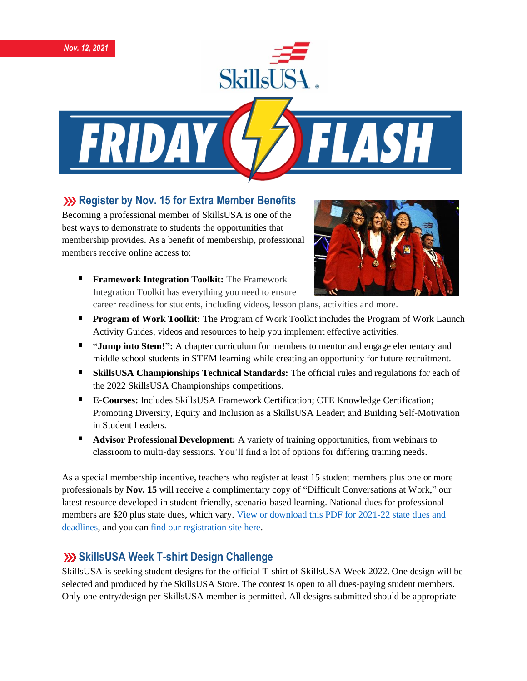

#### **XX** Register by Nov. 15 for Extra Member Benefits

Becoming a professional member of SkillsUSA is one of the best ways to demonstrate to students the opportunities that membership provides. As a benefit of membership, professional members receive online access to:



**Framework Integration Toolkit:** The Framework Integration Toolkit has everything you need to ensure

career readiness for students, including videos, lesson plans, activities and more.

- **Program of Work Toolkit:** The Program of Work Toolkit includes the Program of Work Launch Activity Guides, videos and resources to help you implement effective activities.
- **"Jump into Stem!":** A chapter curriculum for members to mentor and engage elementary and middle school students in STEM learning while creating an opportunity for future recruitment.
- **SkillsUSA Championships Technical Standards:** The official rules and regulations for each of the 2022 SkillsUSA Championships competitions.
- **E-Courses:** Includes SkillsUSA Framework Certification; CTE Knowledge Certification; Promoting Diversity, Equity and Inclusion as a SkillsUSA Leader; and Building Self-Motivation in Student Leaders.
- **Advisor Professional Development:** A variety of training opportunities, from webinars to classroom to multi-day sessions. You'll find a lot of options for differing training needs.

As a special membership incentive, teachers who register at least 15 student members plus one or more professionals by **Nov. 15** will receive a complimentary copy of "Difficult Conversations at Work," our latest resource developed in student-friendly, scenario-based learning. National dues for professional members are \$20 plus state dues, which vary. [View or download this PDF for 2021-22 state dues and](https://www.skillsusa.org/wp-content/uploads/2019/08/State-information-Dues-Deadlines.pdf)  [deadlines,](https://www.skillsusa.org/wp-content/uploads/2019/08/State-information-Dues-Deadlines.pdf) and you can [find our registration site here.](https://www.skillsusa-register.org/Login.aspx)

### **SkillsUSA Week T-shirt Design Challenge**

SkillsUSA is seeking student designs for the official T-shirt of SkillsUSA Week 2022. One design will be selected and produced by the SkillsUSA Store. The contest is open to all dues-paying student members. Only one entry/design per SkillsUSA member is permitted. All designs submitted should be appropriate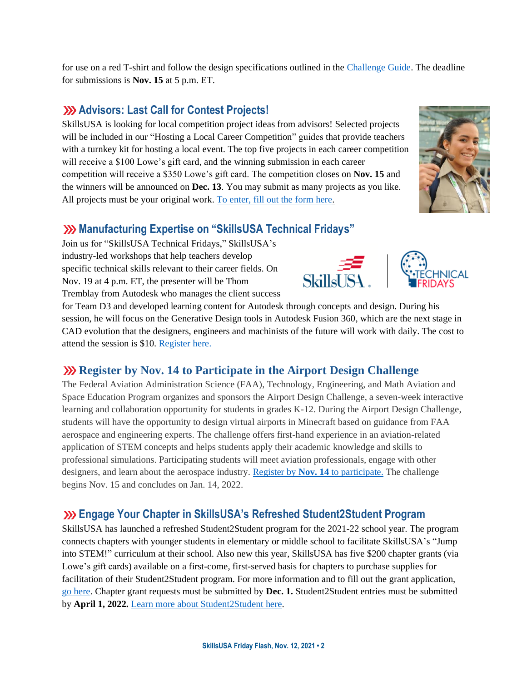for use on a red T-shirt and follow the design specifications outlined in the [Challenge Guide.](https://skillsusa.egnyte.com/dl/s7J9sRO8qg) The deadline for submissions is **Nov. 15** at 5 p.m. ET.

## **Advisors: Last Call for Contest Projects!**

SkillsUSA is looking for local competition project ideas from advisors! Selected projects will be included in our "Hosting a Local Career Competition" guides that provide teachers with a turnkey kit for hosting a local event. The top five projects in each career competition will receive a \$100 Lowe's gift card, and the winning submission in each career competition will receive a \$350 Lowe's gift card. The competition closes on **Nov. 15** and the winners will be announced on **Dec. 13**. You may submit as many projects as you like. All projects must be your original work[. To enter, fill out the form here.](https://www.skillsusa.org/competitions/2021-skillsusa-career-competition-project/)

## **Manufacturing Expertise on "SkillsUSA Technical Fridays"**

Join us for "SkillsUSA Technical Fridays," SkillsUSA's industry-led workshops that help teachers develop specific technical skills relevant to their career fields. On Nov. 19 at 4 p.m. ET, the presenter will be Thom Tremblay from Autodesk who manages the client success

for Team D3 and developed learning content for Autodesk through concepts and design. During his session, he will focus on the Generative Design tools in Autodesk Fusion 360, which are the next stage in CAD evolution that the designers, engineers and machinists of the future will work with daily. The cost to attend the session is \$10. [Register here.](https://skillsusa.wufoo.com/forms/love-and-logic-and-technical-fridays-registration)

# **We Register by Nov. 14 to Participate in the Airport Design Challenge**

The Federal Aviation Administration Science (FAA), Technology, Engineering, and Math Aviation and Space Education Program organizes and sponsors the Airport Design Challenge, a seven-week interactive learning and collaboration opportunity for students in grades K-12. During the Airport Design Challenge, students will have the opportunity to design virtual airports in Minecraft based on guidance from FAA aerospace and engineering experts. The challenge offers first-hand experience in an aviation-related application of STEM concepts and helps students apply their academic knowledge and skills to professional simulations. Participating students will meet aviation professionals, engage with other designers, and learn about the aerospace industry. Register by **Nov. 14** [to participate.](https://www.faa.gov/education/virtual_learning/airport_design/) The challenge begins Nov. 15 and concludes on Jan. 14, 2022.

# **Engage Your Chapter in SkillsUSA's Refreshed Student2Student Program**

SkillsUSA has launched a refreshed Student2Student program for the 2021-22 school year. The program connects chapters with younger students in elementary or middle school to facilitate SkillsUSA's "Jump into STEM!" curriculum at their school. Also new this year, SkillsUSA has five \$200 chapter grants (via Lowe's gift cards) available on a first-come, first-served basis for chapters to purchase supplies for facilitation of their Student2Student program. For more information and to fill out the grant application, [go here.](https://skillsusa.wufoo.com/forms/q1q0j4bd0laniof/) Chapter grant requests must be submitted by **Dec. 1.** Student2Student entries must be submitted by **April 1, 2022.** [Learn more about Student2Student](https://www.skillsusa.org/programs/student2student/) here.